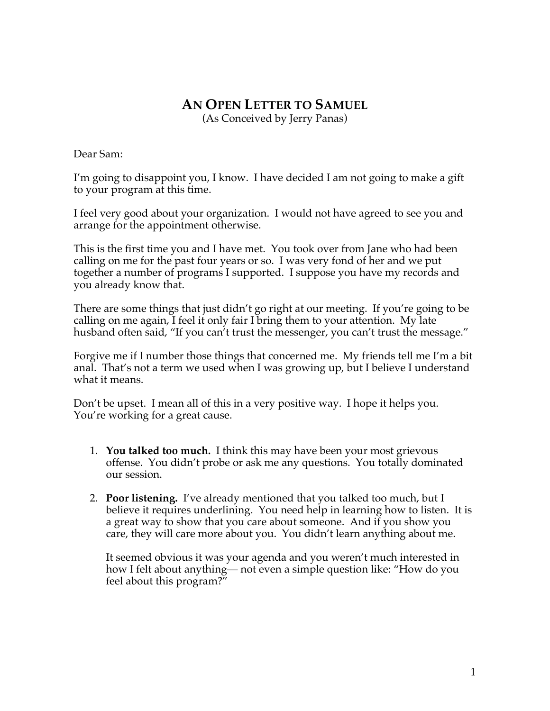## **AN OPEN LETTER TO SAMUEL** (As Conceived by Jerry Panas)

Dear Sam:

I'm going to disappoint you, I know. I have decided I am not going to make a gift to your program at this time.

I feel very good about your organization. I would not have agreed to see you and arrange for the appointment otherwise.

This is the first time you and I have met. You took over from Jane who had been calling on me for the past four years or so. I was very fond of her and we put together a number of programs I supported. I suppose you have my records and you already know that.

There are some things that just didn't go right at our meeting. If you're going to be calling on me again, I feel it only fair I bring them to your attention. My late husband often said, "If you can't trust the messenger, you can't trust the message."

Forgive me if I number those things that concerned me. My friends tell me I'm a bit anal. That's not a term we used when I was growing up, but I believe I understand what it means.

Don't be upset. I mean all of this in a very positive way. I hope it helps you. You're working for a great cause.

- 1. **You talked too much.** I think this may have been your most grievous offense. You didn't probe or ask me any questions. You totally dominated our session.
- 2. **Poor listening.** I've already mentioned that you talked too much, but I believe it requires underlining. You need help in learning how to listen. It is a great way to show that you care about someone. And if you show you care, they will care more about you. You didn't learn anything about me.

It seemed obvious it was your agenda and you weren't much interested in how I felt about anything— not even a simple question like: "How do you feel about this program?"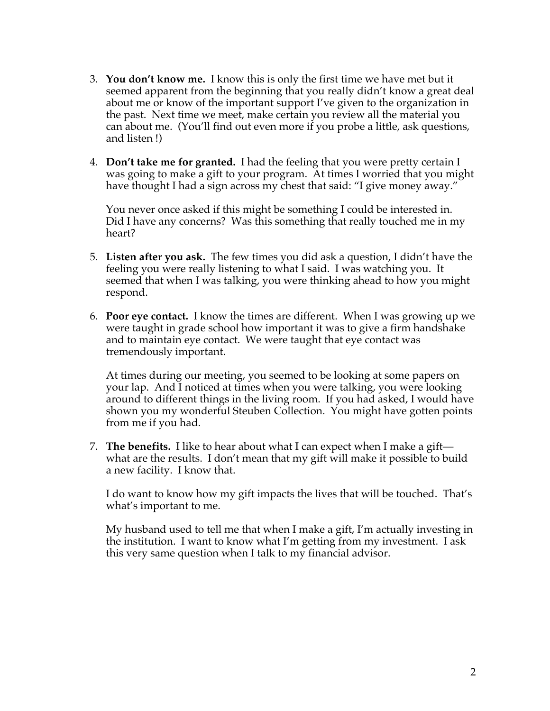- 3. **You don't know me.** I know this is only the first time we have met but it seemed apparent from the beginning that you really didn't know a great deal about me or know of the important support I've given to the organization in the past. Next time we meet, make certain you review all the material you can about me. (You'll find out even more if you probe a little, ask questions, and listen !)
- 4. **Don't take me for granted.** I had the feeling that you were pretty certain I was going to make a gift to your program. At times I worried that you might have thought I had a sign across my chest that said: "I give money away."

You never once asked if this might be something I could be interested in. Did I have any concerns? Was this something that really touched me in my heart?

- 5. **Listen after you ask.** The few times you did ask a question, I didn't have the feeling you were really listening to what I said. I was watching you. It seemed that when I was talking, you were thinking ahead to how you might respond.
- 6. **Poor eye contact.** I know the times are different. When I was growing up we were taught in grade school how important it was to give a firm handshake and to maintain eye contact. We were taught that eye contact was tremendously important.

At times during our meeting, you seemed to be looking at some papers on your lap. And I noticed at times when you were talking, you were looking around to different things in the living room. If you had asked, I would have shown you my wonderful Steuben Collection. You might have gotten points from me if you had.

7. **The benefits.** I like to hear about what I can expect when I make a gift what are the results. I don't mean that my gift will make it possible to build a new facility. I know that.

I do want to know how my gift impacts the lives that will be touched. That's what's important to me.

My husband used to tell me that when I make a gift, I'm actually investing in the institution. I want to know what I'm getting from my investment. I ask this very same question when I talk to my financial advisor.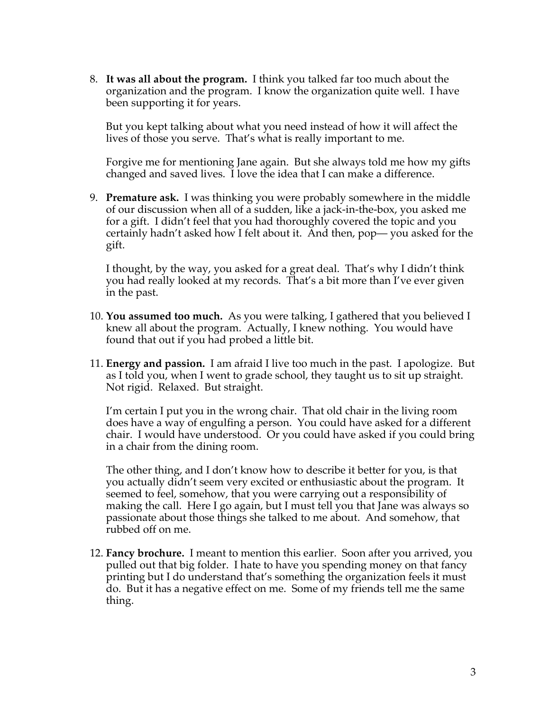8. **It was all about the program.** I think you talked far too much about the organization and the program. I know the organization quite well. I have been supporting it for years.

But you kept talking about what you need instead of how it will affect the lives of those you serve. That's what is really important to me.

Forgive me for mentioning Jane again. But she always told me how my gifts changed and saved lives. I love the idea that I can make a difference.

9. **Premature ask.** I was thinking you were probably somewhere in the middle of our discussion when all of a sudden, like a jack-in-the-box, you asked me for a gift. I didn't feel that you had thoroughly covered the topic and you certainly hadn't asked how I felt about it. And then, pop— you asked for the gift.

I thought, by the way, you asked for a great deal. That's why I didn't think you had really looked at my records. That's a bit more than I've ever given in the past.

- 10. **You assumed too much.** As you were talking, I gathered that you believed I knew all about the program. Actually, I knew nothing. You would have found that out if you had probed a little bit.
- 11. **Energy and passion.** I am afraid I live too much in the past. I apologize. But as I told you, when I went to grade school, they taught us to sit up straight. Not rigid. Relaxed. But straight.

I'm certain I put you in the wrong chair. That old chair in the living room does have a way of engulfing a person. You could have asked for a different chair. I would have understood. Or you could have asked if you could bring in a chair from the dining room.

The other thing, and I don't know how to describe it better for you, is that you actually didn't seem very excited or enthusiastic about the program. It seemed to feel, somehow, that you were carrying out a responsibility of making the call. Here I go again, but I must tell you that Jane was always so passionate about those things she talked to me about. And somehow, that rubbed off on me.

12. **Fancy brochure.** I meant to mention this earlier. Soon after you arrived, you pulled out that big folder. I hate to have you spending money on that fancy printing but I do understand that's something the organization feels it must do. But it has a negative effect on me. Some of my friends tell me the same thing.